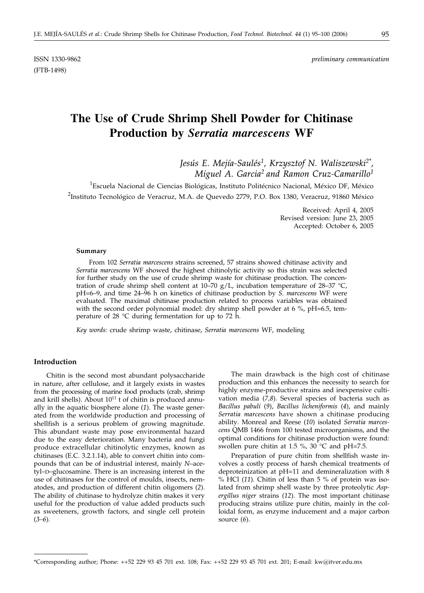(FTB-1498)

# **The Use of Crude Shrimp Shell Powder for Chitinase Production by** *Serratia marcescens* **WF**

*Jesús E. Mejía-Saulés1, Krzysztof N. Waliszewski2\*, Miguel A. Garcia2 and Ramon Cruz-Camarillo1*

<sup>1</sup>Escuela Nacional de Ciencias Biológicas, Instituto Politécnico Nacional, México DF, México <sup>2</sup>Instituto Tecnológico de Veracruz, M.A. de Quevedo 2779, P.O. Box 1380, Veracruz, 91860 México

> Received: April 4, 2005 Revised version: June 23, 2005 Accepted: October 6, 2005

#### **Summary**

From 102 *Serratia marcescens* strains screened, 57 strains showed chitinase activity and *Serratia marcescens* WF showed the highest chitinolytic activity so this strain was selected for further study on the use of crude shrimp waste for chitinase production. The concentration of crude shrimp shell content at 10–70 g/L, incubation temperature of 28–37 °C, pH=6–9, and time 24–96 h on kinetics of chitinase production by *S. marcescens* WF were evaluated. The maximal chitinase production related to process variables was obtained with the second order polynomial model: dry shrimp shell powder at 6  $\%$ , pH=6.5, temperature of 28 °C during fermentation for up to 72 h.

*Key words:* crude shrimp waste, chitinase, *Serratia marcescens* WF, modeling

#### **Introduction**

Chitin is the second most abundant polysaccharide in nature, after cellulose, and it largely exists in wastes from the processing of marine food products (crab, shrimp and krill shells). About  $10^{11}$  t of chitin is produced annually in the aquatic biosphere alone (*1*). The waste generated from the worldwide production and processing of shellfish is a serious problem of growing magnitude. This abundant waste may pose environmental hazard due to the easy deterioration. Many bacteria and fungi produce extracellular chitinolytic enzymes, known as chitinases (E.C. 3.2.1.14), able to convert chitin into compounds that can be of industrial interest, mainly *N*–acetyl–D–glucosamine. There is an increasing interest in the use of chitinases for the control of moulds, insects, nematodes, and production of different chitin oligomers (*2*). The ability of chitinase to hydrolyze chitin makes it very useful for the production of value added products such as sweeteners, growth factors, and single cell protein (*3–6*).

The main drawback is the high cost of chitinase production and this enhances the necessity to search for highly enzyme-productive strains and inexpensive cultivation media (*7,8*). Several species of bacteria such as *Bacillus pabuli* (*9*), *Bacillus licheniformis* (*4*), and mainly *Serratia marcescens* have shown a chitinase producing ability. Monreal and Reese (*10*) isolated *Serratia marcescens* QMB 1466 from 100 tested microorganisms, and the optimal conditions for chitinase production were found: swollen pure chitin at 1.5 %, 30 °C and pH=7.5.

Preparation of pure chitin from shellfish waste involves a costly process of harsh chemical treatments of deproteinization at pH=11 and demineralization with 8 % HCl (*11*). Chitin of less than 5 % of protein was isolated from shrimp shell waste by three proteolytic *Aspergillus niger* strains (*12*). The most important chitinase producing strains utilize pure chitin, mainly in the colloidal form, as enzyme inducement and a major carbon source (*6*).

<sup>\*</sup>Corresponding author; Phone: ++52 229 93 45 701 ext. 108; Fax: ++52 229 93 45 701 ext. 201; E-mail: kw*@*itver.edu.mx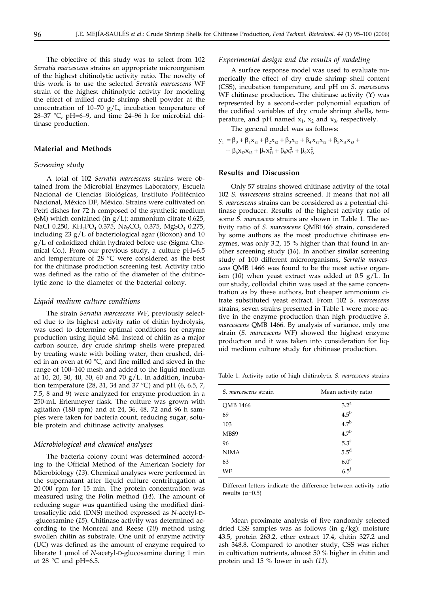The objective of this study was to select from 102 *Serratia marcescens* strains an appropriate microorganism of the highest chitinolytic activity ratio. The novelty of this work is to use the selected *Serratia marcescens* WF strain of the highest chitinolytic activity for modeling the effect of milled crude shrimp shell powder at the concentration of 10–70 g/L, incubation temperature of 28–37 °C, pH=6–9, and time 24–96 h for microbial chitinase production.

# **Material and Methods**

#### *Screening study*

A total of 102 *Serratia marcescens* strains were obtained from the Microbial Enzymes Laboratory, Escuela Nacional de Ciencias Biológicas, Instituto Politécnico Nacional, México DF, México. Strains were cultivated on Petri dishes for 72 h composed of the synthetic medium (SM) which contained (in  $g/L$ ): ammonium citrate 0.625, NaCl 0.250, KH<sub>2</sub>PO<sub>4</sub> 0.375, Na<sub>2</sub>CO<sub>3</sub> 0.375, MgSO<sub>4</sub> 0.275, including 23 g/L of bacteriological agar (Bioxon) and 10 g/L of colloidized chitin hydrated before use (Sigma Chemical Co.). From our previous study, a culture pH=6.5 and temperature of 28 °C were considered as the best for the chitinase production screening test. Activity ratio was defined as the ratio of the diameter of the chitinolytic zone to the diameter of the bacterial colony.

#### *Liquid medium culture conditions*

The strain *Serratia marcescens* WF, previously selected due to its highest activity ratio of chitin hydrolysis, was used to determine optimal conditions for enzyme production using liquid SM. Instead of chitin as a major carbon source, dry crude shrimp shells were prepared by treating waste with boiling water, then crushed, dried in an oven at 60 °C, and fine milled and sieved in the range of 100–140 mesh and added to the liquid medium at 10, 20, 30, 40, 50, 60 and 70 g/L. In addition, incubation temperature (28, 31, 34 and 37 °C) and pH (6, 6.5, 7, 7.5, 8 and 9) were analyzed for enzyme production in a 250-mL Erlenmeyer flask. The culture was grown with agitation (180 rpm) and at 24, 36, 48, 72 and 96 h samples were taken for bacteria count, reducing sugar, soluble protein and chitinase activity analyses.

#### *Microbiological and chemical analyses*

The bacteria colony count was determined according to the Official Method of the American Society for Microbiology (*13*). Chemical analyses were performed in the supernatant after liquid culture centrifugation at 20 000 rpm for 15 min. The protein concentration was measured using the Folin method (*14*). The amount of reducing sugar was quantified using the modified dinitrosalicylic acid (DNS) method expressed as *N*-acetyl-D- -glucosamine (*15*). Chitinase activity was determined according to the Monreal and Reese (*10*) method using swollen chitin as substrate. One unit of enzyme activity (UC) was defined as the amount of enzyme required to liberate 1 µmol of *N*-acetyl-D-glucosamine during 1 min at 28  $\degree$ C and pH=6.5.

## *Experimental design and the results of modeling*

A surface response model was used to evaluate numerically the effect of dry crude shrimp shell content (CSS), incubation temperature, and pH on *S. marcescens* WF chitinase production. The chitinase activity (Y) was represented by a second-order polynomial equation of the codified variables of dry crude shrimp shells, temperature, and pH named  $x_1$ ,  $x_2$  and  $x_3$ , respectively.

The general model was as follows:

$$
y_{i} = \beta_{0} + \beta_{1}x_{i1} + \beta_{2}x_{i2} + \beta_{3}x_{i3} + \beta_{4}x_{i1}x_{i2} + \beta_{5}x_{i1}x_{i3} + + \beta_{6}x_{i2}x_{i3} + \beta_{7}x_{i1}^{2} + \beta_{8}x_{i2}^{2} + \beta_{9}x_{i3}^{2}
$$

#### **Results and Discussion**

Only 57 strains showed chitinase activity of the total 102 *S. marcescens* strains screened. It means that not all *S. marcescens* strains can be considered as a potential chitinase producer. Results of the highest activity ratio of some *S. marcescens* strains are shown in Table 1. The activity ratio of *S. marcescens* QMB1466 strain, considered by some authors as the most productive chitinase enzymes, was only 3.2, 15 % higher than that found in another screening study (*16*). In another similar screening study of 100 different microorganisms, *Serratia marcescens* QMB 1466 was found to be the most active organism (*10*) when yeast extract was added at 0.5 g/L. In our study, colloidal chitin was used at the same concentration as by these authors, but cheaper ammonium citrate substituted yeast extract. From 102 *S. marcescens* strains, seven strains presented in Table 1 were more active in the enzyme production than high productive *S. marcescens* QMB 1466. By analysis of variance, only one strain (*S. marcescens* WF) showed the highest enzyme production and it was taken into consideration for liquid medium culture study for chitinase production.

Table 1. Activity ratio of high chitinolytic *S. marcescens* strains

| Mean activity ratio |
|---------------------|
| 3.2 <sup>a</sup>    |
| $4.5^{\rm b}$       |
| 4.7 <sup>b</sup>    |
| 4.7 <sup>b</sup>    |
| $5.3^{\circ}$       |
| $5.5^d$             |
| 6.0 <sup>e</sup>    |
| 6.5 <sup>f</sup>    |
|                     |

Different letters indicate the difference between activity ratio results ( $\alpha$ =0.5)

Mean proximate analysis of five randomly selected dried CSS samples was as follows (in g/kg): moisture 43.5, protein 263.2, ether extract 17.4, chitin 327.2 and ash 348.8. Compared to another study, CSS was richer in cultivation nutrients, almost 50 % higher in chitin and protein and 15 % lower in ash (*11*).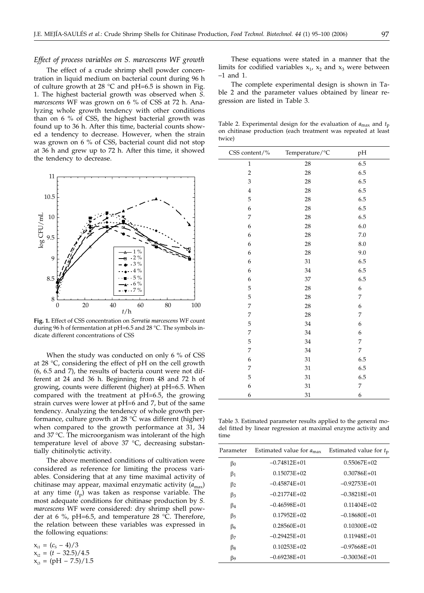#### *Effect of process variables on S. marcescens WF growth*

The effect of a crude shrimp shell powder concentration in liquid medium on bacterial count during 96 h of culture growth at 28  $^{\circ}$ C and pH=6.5 is shown in Fig. 1. The highest bacterial growth was observed when *S. marcescens* WF was grown on 6 % of CSS at 72 h. Analyzing whole growth tendency with other conditions than on 6 % of CSS, the highest bacterial growth was found up to 36 h. After this time, bacterial counts showed a tendency to decrease. However, when the strain was grown on 6 % of CSS, bacterial count did not stop at 36 h and grew up to 72 h. After this time, it showed the tendency to decrease.



**Fig. 1.** Effect of CSS concentration on *Serratia marcescens* WF count during 96 h of fermentation at pH=6.5 and 28 °C. The symbols indicate different concentrations of CSS

When the study was conducted on only 6 % of CSS at 28 °C, considering the effect of pH on the cell growth (6, 6.5 and 7), the results of bacteria count were not different at 24 and 36 h. Beginning from 48 and 72 h of growing, counts were different (higher) at pH=6.5. When compared with the treatment at pH=6.5, the growing strain curves were lower at pH=6 and 7, but of the same tendency. Analyzing the tendency of whole growth performance, culture growth at 28 °C was different (higher) when compared to the growth performance at 31, 34 and 37 °C. The microorganism was intolerant of the high temperature level of above 37 °C, decreasing substantially chitinolytic activity.

The above mentioned conditions of cultivation were considered as reference for limiting the process variables. Considering that at any time maximal activity of chitinase may appear, maximal enzymatic activity ( $a_{\text{max}}$ ) at any time  $(t_p)$  was taken as response variable. The most adequate conditions for chitinase production by *S. marcescens* WF were considered: dry shrimp shell powder at 6 %, pH=6.5, and temperature 28 °C. Therefore, the relation between these variables was expressed in the following equations:

 $x_{i1} = (c_s - 4)/3$  $x_{i2} = (t - 32.5)/4.5$  $x_{3} = (pH - 7.5)/1.5$ 

These equations were stated in a manner that the limits for codified variables  $x_1$ ,  $x_2$  and  $x_3$  were between –1 and 1.

The complete experimental design is shown in Table 2 and the parameter values obtained by linear regression are listed in Table 3.

Table 2. Experimental design for the evaluation of *a*max and *t*p on chitinase production (each treatment was repeated at least twice)

| CSS content/%    | Temperature/°C | pH               |
|------------------|----------------|------------------|
| $\mathbf{1}$     | 28             | 6.5              |
| $\overline{2}$   | 28             | 6.5              |
| 3                | 28             | 6.5              |
| $\overline{4}$   | 28             | 6.5              |
| 5                | 28             | 6.5              |
| 6                | 28             | 6.5              |
| 7                | 28             | 6.5              |
| 6                | 28             | 6.0              |
| 6                | 28             | $7.0\,$          |
| 6                | 28             | $8.0\,$          |
| 6                | 28             | 9.0              |
| 6                | 31             | 6.5              |
| 6                | 34             | 6.5              |
| 6                | 37             | 6.5              |
| 5                | 28             | 6                |
| 5                | 28             | 7                |
| 7                | 28             | $\boldsymbol{6}$ |
| 7                | 28             | 7                |
| 5                | 34             | 6                |
| 7                | 34             | 6                |
| 5                | 34             | 7                |
| 7                | 34             | 7                |
| $\boldsymbol{6}$ | 31             | 6.5              |
| 7                | 31             | 6.5              |
| 5                | 31             | 6.5              |
| 6                | 31             | 7                |
| 6                | 31             | 6                |

Table 3. Estimated parameter results applied to the general model fitted by linear regression at maximal enzyme activity and time

| Parameter | Estimated value for $a_{\text{max}}$ | Estimated value for $t_p$ |
|-----------|--------------------------------------|---------------------------|
| βo        | $-0.74812E+01$                       | $0.55067E+02$             |
| $\beta_1$ | $0.15073E + 02$                      | $0.30786E + 01$           |
| $\beta_2$ | $-0.45874E+01$                       | $-0.92753E+01$            |
| $\beta_3$ | $-0.21774E+02$                       | $-0.38218E+01$            |
| $\beta_4$ | $-0.46598E + 01$                     | $0.11404E + 02$           |
| $\beta$ 5 | $0.17952E+02$                        | $-0.18680E + 01$          |
| β6        | $0.28560E + 01$                      | $0.10300E + 02$           |
| $\beta$ 7 | $-0.29425E+01$                       | $0.11948E + 01$           |
| β8        | $0.10253E+02$                        | $-0.97668E + 01$          |
| β9        | $-0.69238E+01$                       | $-0.30036E + 01$          |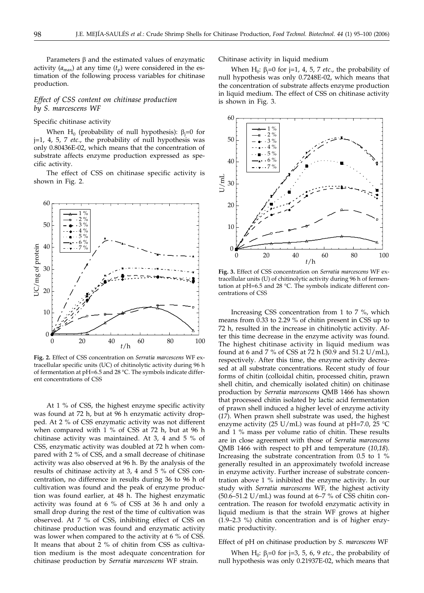Parameters  $\beta$  and the estimated values of enzymatic activity  $(a_{\text{max}})$  at any time  $(t_p)$  were considered in the estimation of the following process variables for chitinase production.

# *Effect of CSS content on chitinase production by S. marcescens WF*

#### Specific chitinase activity

When  $\mathrm{H}_0$  (probability of null hypothesis):  $\beta_\mathrm{j}{=}0$  for j=1, 4, 5, 7 *etc*., the probability of null hypothesis was only 0.80436E-02, which means that the concentration of substrate affects enzyme production expressed as specific activity.

The effect of CSS on chitinase specific activity is shown in Fig. 2.



**Fig. 2.** Effect of CSS concentration on *Serratia marcescens* WF extracellular specific units (UC) of chitinolytic activity during 96 h of fermentation at pH=6.5 and 28 °C. The symbols indicate different concentrations of CSS

At 1 % of CSS, the highest enzyme specific activity was found at 72 h, but at 96 h enzymatic activity dropped. At 2 % of CSS enzymatic activity was not different when compared with 1 % of CSS at 72 h, but at 96 h chitinase activity was maintained. At 3, 4 and 5 % of CSS, enzymatic activity was doubled at 72 h when compared with 2 % of CSS, and a small decrease of chitinase activity was also observed at 96 h. By the analysis of the results of chitinase activity at 3, 4 and 5 % of CSS concentration, no difference in results during 36 to 96 h of cultivation was found and the peak of enzyme production was found earlier, at 48 h. The highest enzymatic activity was found at 6 % of CSS at 36 h and only a small drop during the rest of the time of cultivation was observed. At 7 % of CSS, inhibiting effect of CSS on chitinase production was found and enzymatic activity was lower when compared to the activity at 6 % of CSS. It means that about 2 % of chitin from CSS as cultivation medium is the most adequate concentration for chitinase production by *Serratia marcescens* WF strain.

Chitinase activity in liquid medium

When  $H_0$ :  $\beta_j = 0$  for j=1, 4, 5, 7 *etc.*, the probability of null hypothesis was only 0.7248E-02, which means that the concentration of substrate affects enzyme production in liquid medium. The effect of CSS on chitinase activity is shown in Fig. 3.



**Fig. 3.** Effect of CSS concentration on *Serratia marcescens* WF extracellular units (U) of chitinolytic activity during 96 h of fermentation at pH=6.5 and 28 °C. The symbols indicate different concentrations of CSS

Increasing CSS concentration from 1 to 7 %, which means from 0.33 to 2.29 % of chitin present in CSS up to 72 h, resulted in the increase in chitinolytic activity. After this time decrease in the enzyme activity was found. The highest chitinase activity in liquid medium was found at 6 and 7 % of CSS at 72 h (50.9 and 51.2 U/mL), respectively. After this time, the enzyme activity decreased at all substrate concentrations. Recent study of four forms of chitin (colloidal chitin, processed chitin, prawn shell chitin, and chemically isolated chitin) on chitinase production by *Serratia marcescens* QMB 1466 has shown that processed chitin isolated by lactic acid fermentation of prawn shell induced a higher level of enzyme activity (*17*). When prawn shell substrate was used, the highest enzyme activity (25 U/mL) was found at pH=7.0, 25  $^{\circ}$ C and 1 % mass per volume ratio of chitin. These results are in close agreement with those of *Serratia marcescens* QMB 1466 with respect to pH and temperature (*10,18*). Increasing the substrate concentration from 0.5 to 1 % generally resulted in an approximately twofold increase in enzyme activity. Further increase of substrate concentration above 1 % inhibited the enzyme activity. In our study with *Serratia marcescens* WF, the highest activity (50.6–51.2 U/mL) was found at 6–7 % of CSS chitin concentration. The reason for twofold enzymatic activity in liquid medium is that the strain WF grows at higher (1.9–2.3 %) chitin concentration and is of higher enzymatic productivity.

#### Effect of pH on chitinase production by *S. marcescens* WF

When  $H_0$ :  $\beta_j = 0$  for j=3, 5, 6, 9 *etc.*, the probability of null hypothesis was only 0.21937E-02, which means that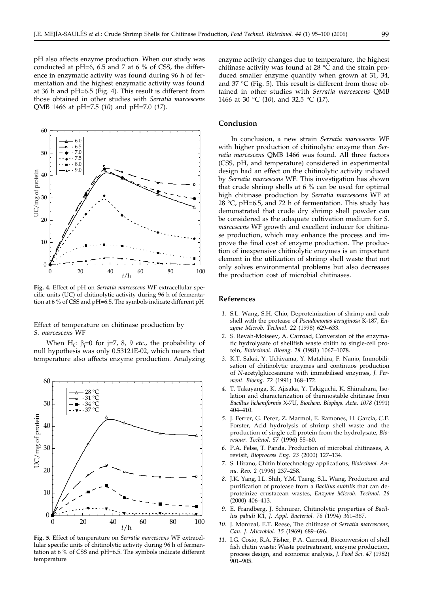pH also affects enzyme production. When our study was conducted at pH=6, 6.5 and 7 at 6 % of CSS, the difference in enzymatic activity was found during 96 h of fermentation and the highest enzymatic activity was found at 36 h and pH=6.5 (Fig. 4). This result is different from those obtained in other studies with *Serratia marcescens* QMB 1466 at pH=7.5 (*10*) and pH=7.0 (*17*).



**Fig. 4.** Effect of pH on *Serratia marcescens* WF extracellular specific units (UC) of chitinolytic activity during 96 h of fermentation at 6 % of CSS and pH=6.5. The symbols indicate different pH

Effect of temperature on chitinase production by *S. marcescens* WF

When  $H_0$ :  $\beta_j = 0$  for j=7, 8, 9 *etc.*, the probability of null hypothesis was only 0.53121E-02, which means that temperature also affects enzyme production. Analyzing



**Fig. 5.** Effect of temperature on *Serratia marcescens* WF extracellular specific units of chitinolytic activity during 96 h of fermentation at 6 % of CSS and pH=6.5. The symbols indicate different temperature

enzyme activity changes due to temperature, the highest chitinase activity was found at 28 °C and the strain produced smaller enzyme quantity when grown at 31, 34, and 37 °C (Fig. 5). This result is different from those obtained in other studies with *Serratia marcescens* QMB 1466 at 30 °C (*10*), and 32.5 °C (*17*).

#### **Conclusion**

In conclusion, a new strain *Serratia marcescens* WF with higher production of chitinolytic enzyme than *Serratia marcescens* QMB 1466 was found. All three factors (CSS, pH, and temperature) considered in experimental design had an effect on the chitinolytic activity induced by *Serratia marcescens* WF. This investigation has shown that crude shrimp shells at 6 % can be used for optimal high chitinase production by *Serratia marcescens* WF at 28  $^{\circ}$ C, pH=6.5, and 72 h of fermentation. This study has demonstrated that crude dry shrimp shell powder can be considered as the adequate cultivation medium for *S. marcescens* WF growth and excellent inducer for chitinase production, which may enhance the process and improve the final cost of enzyme production. The production of inexpensive chitinolytic enzymes is an important element in the utilization of shrimp shell waste that not only solves environmental problems but also decreases the production cost of microbial chitinases.

## **References**

- *1.* S.L. Wang, S.H. Chio, Deproteinization of shrimp and crab shell with the protease of *Pseudomonas aeruginosa* K-187, *Enzyme Microb. Technol. 22* (1998) 629–633.
- *2.* S. Revah-Moiseev, A. Carroad, Conversion of the enzymatic hydrolysate of shellfish waste chitin to single-cell protein, *Biotechnol. Bioeng. 28* (1981) 1067–1078.
- *3.* K.T. Sakai, Y. Uchiyama, Y. Matahira, F. Nanjo, Immobilisation of chitinolytic enzymes and continuos production of *N*-acetylglucosamine with immobilised enzymes, *J. Ferment. Bioeng. 72* (1991) 168–172.
- *4.* T. Takayanga, K. Ajisaka, Y. Takiguchi, K. Shimahara, Isolation and characterization of thermostable chitinase from *Bacillus licheniformis* X-7U, *Biochem. Biophys. Acta, 1078* (1991) 404–410.
- *5.* J. Ferrer, G. Perez, Z. Marmol, E. Ramones, H. Garcia, C.F. Forster, Acid hydrolysis of shrimp shell waste and the production of single cell protein from the hydrolysate, *Bioresour. Technol*. *57* (1996) 55–60.
- *6.* P.A. Felse, T. Panda, Production of microbial chitinases, A revisit, *Bioprocess Eng. 23* (2000) 127–134.
- *7.* S. Hirano, Chitin biotechnology applications, *Biotechnol. Annu. Rev. 2* (1996) 237–258.
- *8.* J.K. Yang, I.L. Shih, Y.M. Tzeng, S.L. Wang, Production and purification of protease from a *Bacillus subtilis* that can deproteinize crustacean wastes, *Enzyme Microb. Technol. 26* (2000) 406–413.
- *9.* E. Frandberg, J. Schnurer, Chitinolytic properties of *Bacillus pabuli* K1, *J. Appl. Bacteriol. 76* (1994) 361–367.
- *10.* J. Monreal, E.T. Reese, The chitinase of *Serratia marcescens*, *Can. J. Microbiol. 15* (1969) 689–696.
- *11.* I.G. Cosio, R.A. Fisher, P.A. Carroad, Bioconversion of shell fish chitin waste: Waste pretreatment, enzyme production, process design, and economic analysis, *J. Food Sci*. *47* (1982) 901–905.